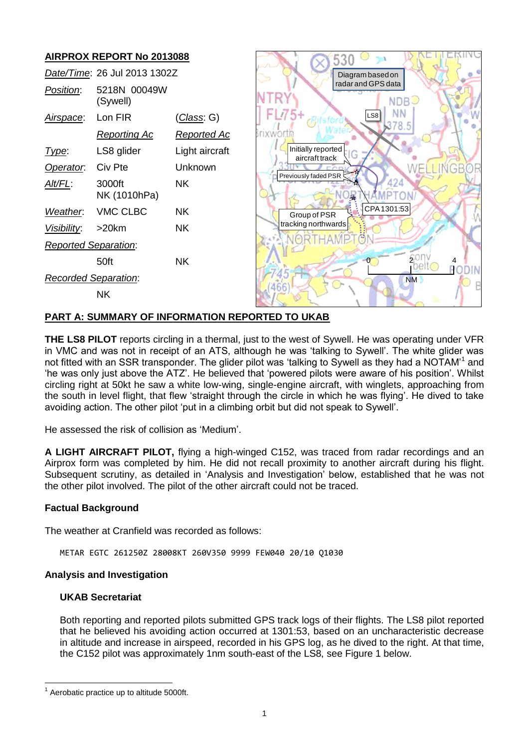

## **PART A: SUMMARY OF INFORMATION REPORTED TO UKAB**

**THE LS8 PILOT** reports circling in a thermal, just to the west of Sywell. He was operating under VFR in VMC and was not in receipt of an ATS, although he was 'talking to Sywell'. The white glider was not fitted with an SSR transponder. The glider pilot was 'talking to Sywell as they had a NOTAM'<sup>1</sup> and 'he was only just above the ATZ'. He believed that 'powered pilots were aware of his position'. Whilst circling right at 50kt he saw a white low-wing, single-engine aircraft, with winglets, approaching from the south in level flight, that flew 'straight through the circle in which he was flying'. He dived to take avoiding action. The other pilot 'put in a climbing orbit but did not speak to Sywell'.

He assessed the risk of collision as 'Medium'.

**A LIGHT AIRCRAFT PILOT,** flying a high-winged C152, was traced from radar recordings and an Airprox form was completed by him. He did not recall proximity to another aircraft during his flight. Subsequent scrutiny, as detailed in 'Analysis and Investigation' below, established that he was not the other pilot involved. The pilot of the other aircraft could not be traced.

#### **Factual Background**

The weather at Cranfield was recorded as follows:

METAR EGTC 261250Z 28008KT 260V350 9999 FEW040 20/10 Q1030

#### **Analysis and Investigation**

#### **UKAB Secretariat**

Both reporting and reported pilots submitted GPS track logs of their flights. The LS8 pilot reported that he believed his avoiding action occurred at 1301:53, based on an uncharacteristic decrease in altitude and increase in airspeed, recorded in his GPS log, as he dived to the right. At that time, the C152 pilot was approximately 1nm south-east of the LS8, see Figure 1 below.

 $\overline{a}$  $1$  Aerobatic practice up to altitude 5000ft.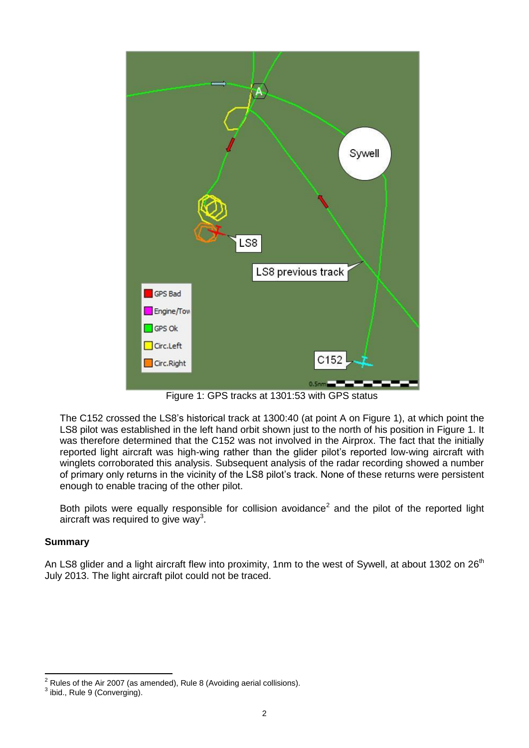

Figure 1: GPS tracks at 1301:53 with GPS status

The C152 crossed the LS8's historical track at 1300:40 (at point A on Figure 1), at which point the LS8 pilot was established in the left hand orbit shown just to the north of his position in Figure 1. It was therefore determined that the C152 was not involved in the Airprox. The fact that the initially reported light aircraft was high-wing rather than the glider pilot's reported low-wing aircraft with winglets corroborated this analysis. Subsequent analysis of the radar recording showed a number of primary only returns in the vicinity of the LS8 pilot's track. None of these returns were persistent enough to enable tracing of the other pilot.

Both pilots were equally responsible for collision avoidance<sup>2</sup> and the pilot of the reported light aircraft was required to give way<sup>3</sup>.

## **Summary**

An LS8 glider and a light aircraft flew into proximity, 1nm to the west of Sywell, at about 1302 on 26<sup>th</sup> July 2013. The light aircraft pilot could not be traced.

 $\overline{\phantom{a}}$  $2^2$  Rules of the Air 2007 (as amended), Rule 8 (Avoiding aerial collisions).

 $3$  ibid., Rule 9 (Converging).